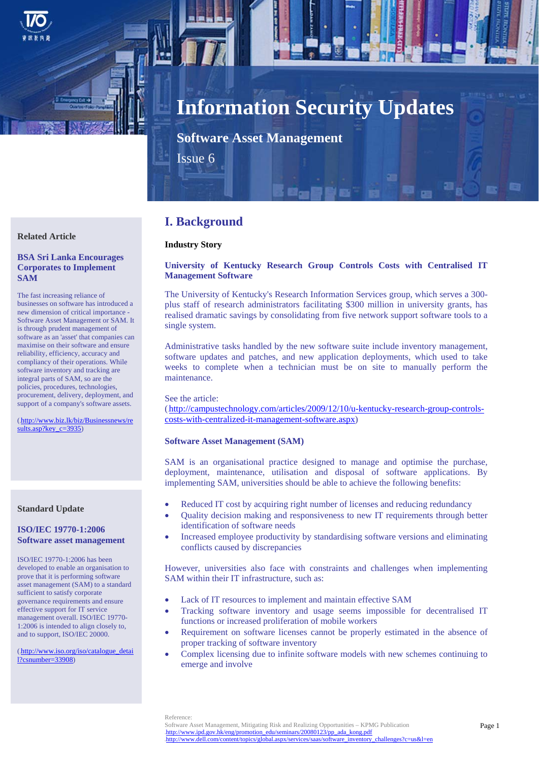

# **Information Security Updates**

**Software Asset Management**

Issue 6

# **Related Article**

# **BSA Sri Lanka Encourages Corporates to Implement SAM**

The fast increasing reliance of businesses on software has introduced a new dimension of critical importance - Software Asset Management or SAM. It is through prudent management of software as an 'asset' that companies can maximise on their software and ensure reliability, efficiency, accuracy and compliancy of their operations. While software inventory and tracking are integral parts of SAM, so are the policies, procedures, technologies, procurement, delivery, deployment, and support of a company's software assets.

(http://www.biz.lk/biz/Businessnews/re sults.asp?key\_c=3935)

# **Standard Update**

## **ISO/IEC 19770-1:2006 Software asset management**

ISO/IEC 19770-1:2006 has been developed to enable an organisation to prove that it is performing software asset management (SAM) to a standard sufficient to satisfy corporate governance requirements and ensure effective support for IT service management overall. ISO/IEC 19770- 1:2006 is intended to align closely to, and to support, ISO/IEC 20000.

(7Hhttp://www.iso.org/iso/catalogue\_detai l?csnumber=33908)

# **I. Background**

# **Industry Story**

# **University of Kentucky Research Group Controls Costs with Centralised IT Management Software**

The University of Kentucky's Research Information Services group, which serves a 300 plus staff of research administrators facilitating \$300 million in university grants, has realised dramatic savings by consolidating from five network support software tools to a single system.

Administrative tasks handled by the new software suite include inventory management, software updates and patches, and new application deployments, which used to take weeks to complete when a technician must be on site to manually perform the maintenance.

See the article:

 $(\text{http://campustechnology.com/articles}/2009/12/10/u-kentucky-research-group-controls-)$ costs-with-centralized-it-management-software.aspx)

#### **Software Asset Management (SAM)**

SAM is an organisational practice designed to manage and optimise the purchase, deployment, maintenance, utilisation and disposal of software applications. By implementing SAM, universities should be able to achieve the following benefits:

- Reduced IT cost by acquiring right number of licenses and reducing redundancy
- Quality decision making and responsiveness to new IT requirements through better identification of software needs
- Increased employee productivity by standardising software versions and eliminating conflicts caused by discrepancies

However, universities also face with constraints and challenges when implementing SAM within their IT infrastructure, such as:

- Lack of IT resources to implement and maintain effective SAM
- Tracking software inventory and usage seems impossible for decentralised IT functions or increased proliferation of mobile workers
- Requirement on software licenses cannot be properly estimated in the absence of proper tracking of software inventory
- Complex licensing due to infinite software models with new schemes continuing to emerge and involve

Reference: Software Asset Management, Mitigating Risk and Realizing Opportunities – KPMG Publication http://www.ipd.gov.hk/eng/promotion\_edu/seminars/20080123/pp\_ada\_kong.pdf http://www.dell.com/content/topics/global.aspx/services/saas/software\_inventory\_challenges?c=us&l=en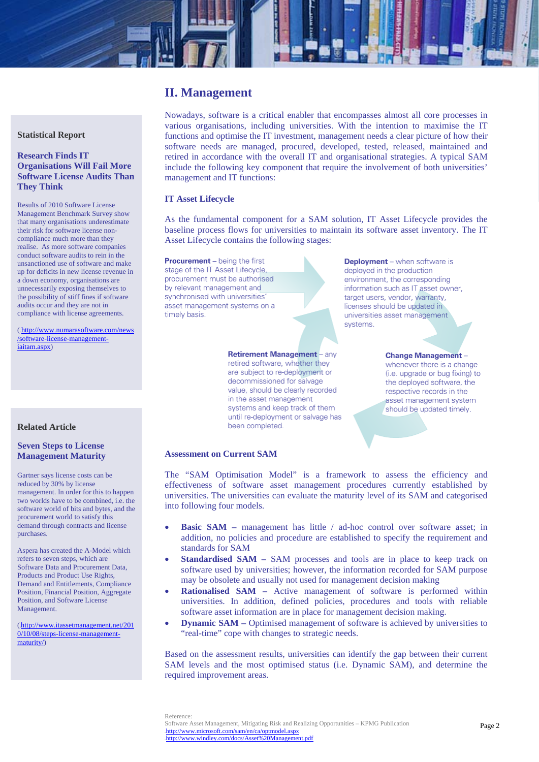# **II. Management**

**Statistical Report** 

# **Research Finds IT Organisations Will Fail More Software License Audits Than They Think**

Results of 2010 Software License Management Benchmark Survey show that many organisations underestimate their risk for software license noncompliance much more than they realise. As more software companies conduct software audits to rein in the unsanctioned use of software and make up for deficits in new license revenue in a down economy, organisations are unnecessarily exposing themselves to the possibility of stiff fines if software audits occur and they are not in compliance with license agreements.

(.http://www.numarasoftware.com/news /software-license-managementiaitam.aspx)

Nowadays, software is a critical enabler that encompasses almost all core processes in various organisations, including universities. With the intention to maximise the IT functions and optimise the IT investment, management needs a clear picture of how their software needs are managed, procured, developed, tested, released, maintained and retired in accordance with the overall IT and organisational strategies. A typical SAM include the following key component that require the involvement of both universities' management and IT functions:

# **IT Asset Lifecycle**

As the fundamental component for a SAM solution, IT Asset Lifecycle provides the baseline process flows for universities to maintain its software asset inventory. The IT Asset Lifecycle contains the following stages:

**Procurement** – being the first stage of the IT Asset Lifecycle. procurement must be authorised by relevant management and synchronised with universities asset management systems on a timely basis.

> **Retirement Management - any** retired software, whether they are subject to re-deployment or decommissioned for salvage value, should be clearly recorded in the asset management systems and keep track of them until re-deployment or salvage has been completed.

**Deployment** - when software is deployed in the production environment, the corresponding information such as IT asset owner, target users, vendor, warranty, licenses should be updated in universities asset management systems.

> **Change Management** whenever there is a change (i.e. upgrade or bug fixing) to the deployed software, the respective records in the asset management system should be updated timely.

# **Related Article**

# **Seven Steps to License Management Maturity**

Gartner says license costs can be reduced by 30% by license management. In order for this to happen two worlds have to be combined, i.e. the software world of bits and bytes, and the procurement world to satisfy this demand through contracts and license purchases.

Aspera has created the A-Model which refers to seven steps, which are Software Data and Procurement Data, Products and Product Use Rights, Demand and Entitlements, Compliance Position, Financial Position, Aggregate Position, and Software License Management.

(8Hhttp://www.itassetmanagement.net/201 0/10/08/steps-license-managementmaturity/)

# **Assessment on Current SAM**

The "SAM Optimisation Model" is a framework to assess the efficiency and effectiveness of software asset management procedures currently established by universities. The universities can evaluate the maturity level of its SAM and categorised into following four models.

- **Basic SAM** management has little / ad-hoc control over software asset; in addition, no policies and procedure are established to specify the requirement and standards for SAM
- **Standardised SAM SAM** processes and tools are in place to keep track on software used by universities; however, the information recorded for SAM purpose may be obsolete and usually not used for management decision making
- **Rationalised SAM** Active management of software is performed within universities. In addition, defined policies, procedures and tools with reliable software asset information are in place for management decision making.
- **Dynamic SAM** Optimised management of software is achieved by universities to "real-time" cope with changes to strategic needs.

Based on the assessment results, universities can identify the gap between their current SAM levels and the most optimised status (i.e. Dynamic SAM), and determine the required improvement areas.

Reference: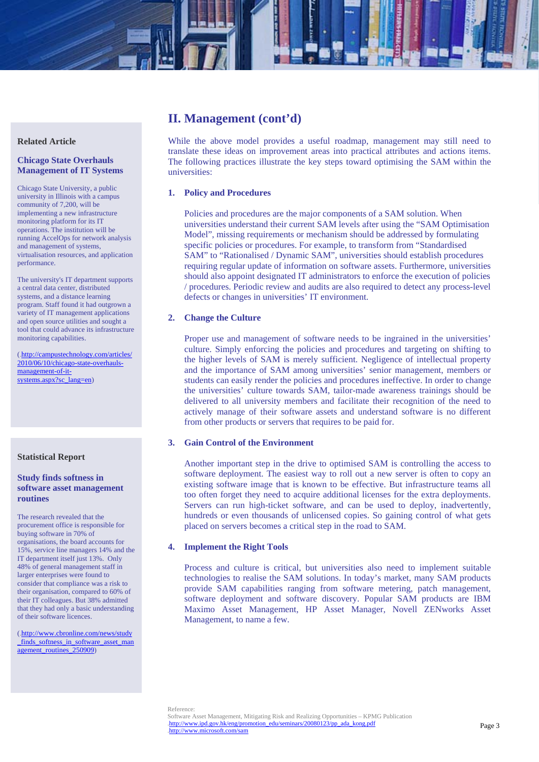# **II. Management (cont'd)**

While the above model provides a useful roadmap, management may still need to translate these ideas on improvement areas into practical attributes and actions items. The following practices illustrate the key steps toward optimising the SAM within the universities:

# **1. Policy and Procedures**

Policies and procedures are the major components of a SAM solution. When universities understand their current SAM levels after using the "SAM Optimisation Model", missing requirements or mechanism should be addressed by formulating specific policies or procedures. For example, to transform from "Standardised SAM" to "Rationalised / Dynamic SAM", universities should establish procedures requiring regular update of information on software assets. Furthermore, universities should also appoint designated IT administrators to enforce the execution of policies / procedures. Periodic review and audits are also required to detect any process-level defects or changes in universities' IT environment.

# **2. Change the Culture**

Proper use and management of software needs to be ingrained in the universities' culture. Simply enforcing the policies and procedures and targeting on shifting to the higher levels of SAM is merely sufficient. Negligence of intellectual property and the importance of SAM among universities' senior management, members or students can easily render the policies and procedures ineffective. In order to change the universities' culture towards SAM, tailor-made awareness trainings should be delivered to all university members and facilitate their recognition of the need to actively manage of their software assets and understand software is no different from other products or servers that requires to be paid for.

# **3. Gain Control of the Environment**

Another important step in the drive to optimised SAM is controlling the access to software deployment. The easiest way to roll out a new server is often to copy an existing software image that is known to be effective. But infrastructure teams all too often forget they need to acquire additional licenses for the extra deployments. Servers can run high-ticket software, and can be used to deploy, inadvertently, hundreds or even thousands of unlicensed copies. So gaining control of what gets placed on servers becomes a critical step in the road to SAM.

#### **4. Implement the Right Tools**

Process and culture is critical, but universities also need to implement suitable technologies to realise the SAM solutions. In today's market, many SAM products provide SAM capabilities ranging from software metering, patch management, software deployment and software discovery. Popular SAM products are IBM Maximo Asset Management, HP Asset Manager, Novell ZENworks Asset Management, to name a few.

# **Related Article**

# **Chicago State Overhauls Management of IT Systems**

Chicago State University, a public university in Illinois with a campus community of 7,200, will be implementing a new infrastructure monitoring platform for its IT operations. The institution will be running AccelOps for network analysis and management of systems, virtualisation resources, and application performance.

The university's IT department supports a central data center, distributed systems, and a distance learning program. Staff found it had outgrown a variety of IT management applications and open source utilities and sought a tool that could advance its infrastructure monitoring capabilities.

(.http://campustechnology.com/articles/ 2010/06/10/chicago-state-overhaulsmanagement-of-itsystems.aspx?sc\_lang=en)

#### **Statistical Report**

# **Study finds softness in software asset management routines**

The research revealed that the procurement office is responsible for buying software in 70% of organisations, the board accounts for 15%, service line managers 14% and the IT department itself just 13%. Only 48% of general management staff in larger enterprises were found to consider that compliance was a risk to their organisation, compared to 60% of their IT colleagues. But 38% admitted that they had only a basic understanding of their software licences.

(.http://www.cbronline.com/news/study \_finds\_softness\_in\_software\_asset\_man agement\_routines\_250909)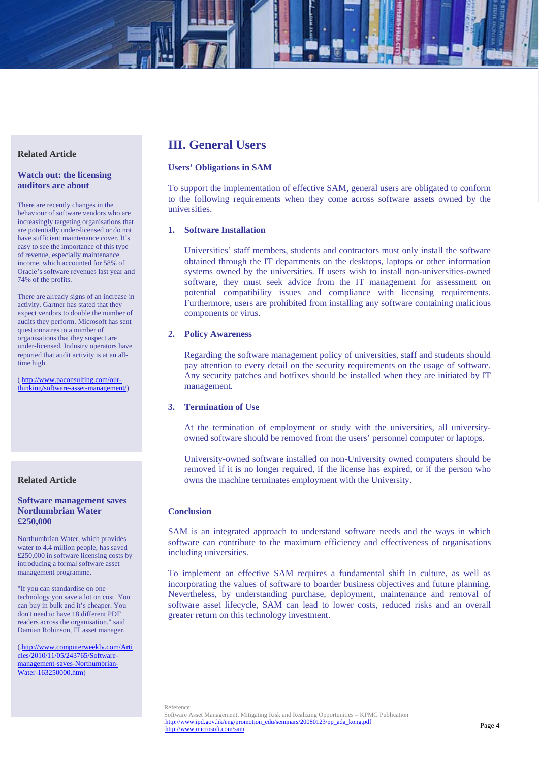# **Related Article**

# **Watch out: the licensing auditors are about**

There are recently changes in the behaviour of software vendors who are increasingly targeting organisations that are potentially under-licensed or do not have sufficient maintenance cover. It's easy to see the importance of this type of revenue, especially maintenance income, which accounted for 58% of Oracle's software revenues last year and 74% of the profits.

There are already signs of an increase in activity. Gartner has stated that they expect vendors to double the number of audits they perform. Microsoft has sent questionnaires to a number of organisations that they suspect are under-licensed. Industry operators have reported that audit activity is at an alltime high.

(http://www.paconsulting.com/ourthinking/software-asset-management/)

# **Related Article**

# **Software management saves Northumbrian Water £250,000**

Northumbrian Water, which provides water to 4.4 million people, has saved £250,000 in software licensing costs by introducing a formal software asset management programme.

"If you can standardise on one technology you save a lot on cost. You can buy in bulk and it's cheaper. You don't need to have 18 different PDF readers across the organisation." said Damian Robinson, IT asset manager.

(.http://www.computerweekly.com/Arti cles/2010/11/05/243765/Softwaremanagement-saves-Northumbrian-Water-163250000.htm)

# **III. General Users**

# **Users' Obligations in SAM**

To support the implementation of effective SAM, general users are obligated to conform to the following requirements when they come across software assets owned by the universities.

# **1. Software Installation**

Universities' staff members, students and contractors must only install the software obtained through the IT departments on the desktops, laptops or other information systems owned by the universities. If users wish to install non-universities-owned software, they must seek advice from the IT management for assessment on potential compatibility issues and compliance with licensing requirements. Furthermore, users are prohibited from installing any software containing malicious components or virus.

### **2. Policy Awareness**

Regarding the software management policy of universities, staff and students should pay attention to every detail on the security requirements on the usage of software. Any security patches and hotfixes should be installed when they are initiated by IT management.

# **3. Termination of Use**

At the termination of employment or study with the universities, all universityowned software should be removed from the users' personnel computer or laptops.

University-owned software installed on non-University owned computers should be removed if it is no longer required, if the license has expired, or if the person who owns the machine terminates employment with the University.

# **Conclusion**

SAM is an integrated approach to understand software needs and the ways in which software can contribute to the maximum efficiency and effectiveness of organisations including universities.

To implement an effective SAM requires a fundamental shift in culture, as well as incorporating the values of software to boarder business objectives and future planning. Nevertheless, by understanding purchase, deployment, maintenance and removal of software asset lifecycle, SAM can lead to lower costs, reduced risks and an overall greater return on this technology investment.

Reference: Software Asset Management, Mitigating Risk and Realizing Opportunities – KPMG Publication http://www.ipd.gov.hk/eng/promotion\_edu/seminars/20080123/pp\_ada\_kong.pdf 4Hhttp://www.microsoft.com/sam